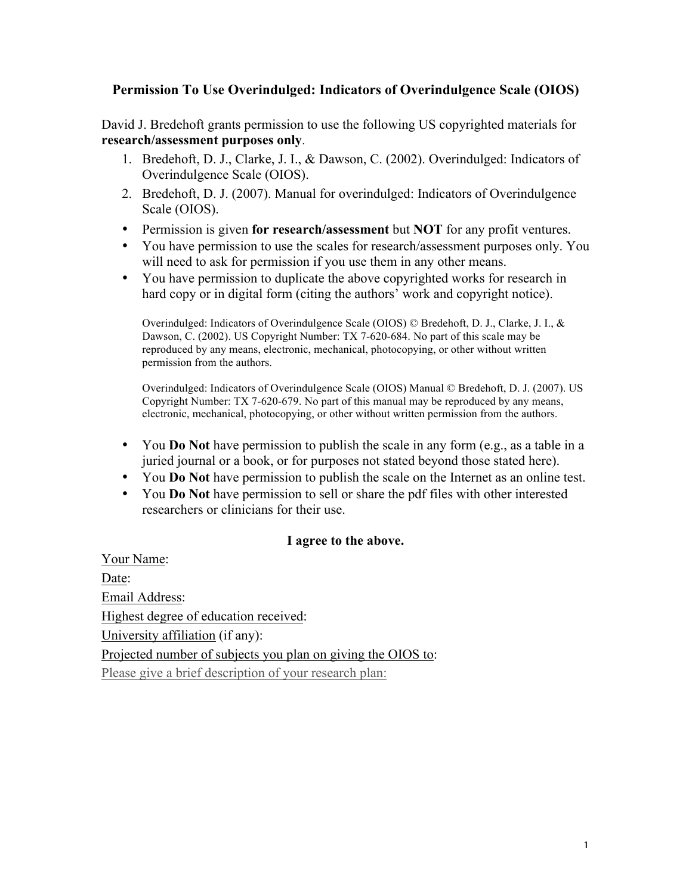## **Permission To Use Overindulged: Indicators of Overindulgence Scale (OIOS)**

David J. Bredehoft grants permission to use the following US copyrighted materials for **research/assessment purposes only**.

- 1. Bredehoft, D. J., Clarke, J. I., & Dawson, C. (2002). Overindulged: Indicators of Overindulgence Scale (OIOS).
- 2. Bredehoft, D. J. (2007). Manual for overindulged: Indicators of Overindulgence Scale (OIOS).
- Permission is given **for research/assessment** but **NOT** for any profit ventures.
- You have permission to use the scales for research/assessment purposes only. You will need to ask for permission if you use them in any other means.
- You have permission to duplicate the above copyrighted works for research in hard copy or in digital form (citing the authors' work and copyright notice).

Overindulged: Indicators of Overindulgence Scale (OIOS) © Bredehoft, D. J., Clarke, J. I., & Dawson, C. (2002). US Copyright Number: TX 7-620-684. No part of this scale may be reproduced by any means, electronic, mechanical, photocopying, or other without written permission from the authors.

Overindulged: Indicators of Overindulgence Scale (OIOS) Manual © Bredehoft, D. J. (2007). US Copyright Number: TX 7-620-679. No part of this manual may be reproduced by any means, electronic, mechanical, photocopying, or other without written permission from the authors.

- You **Do Not** have permission to publish the scale in any form (e.g., as a table in a juried journal or a book, or for purposes not stated beyond those stated here).
- You **Do Not** have permission to publish the scale on the Internet as an online test.
- You **Do Not** have permission to sell or share the pdf files with other interested researchers or clinicians for their use.

## **I agree to the above.**

Your Name: Date: Email Address: Highest degree of education received: University affiliation (if any): Projected number of subjects you plan on giving the OIOS to: Please give a brief description of your research plan: